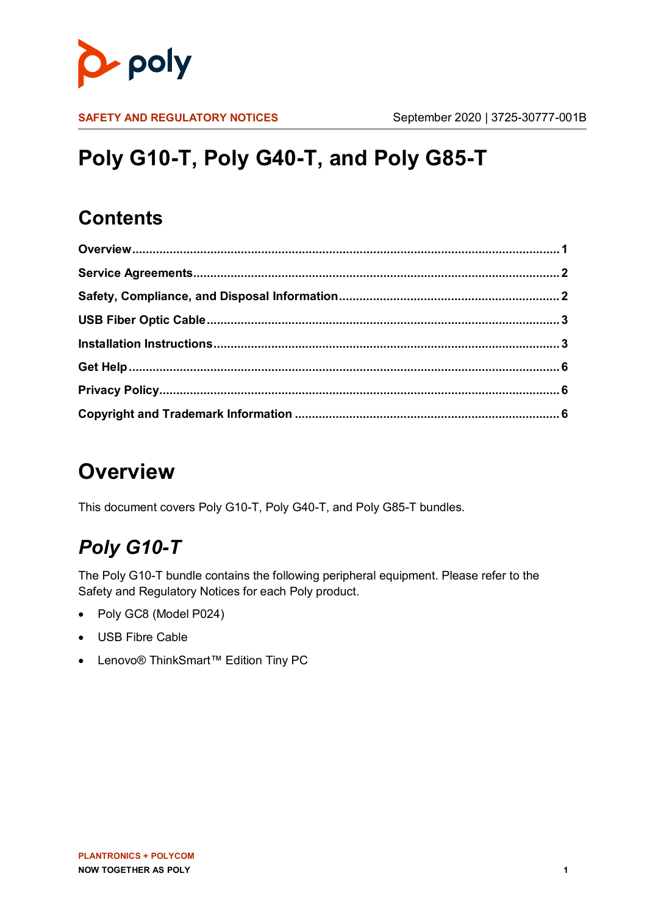

**SAFETY AND REGULATORY NOTICES** September 2020 | 3725-30777-001B

# **Poly G10-T, Poly G40-T, and Poly G85-T**

#### **Contents**

# <span id="page-0-0"></span>**Overview**

This document covers Poly G10-T, Poly G40-T, and Poly G85-T bundles.

### *Poly G10-T*

The Poly G10-T bundle contains the following peripheral equipment. Please refer to the Safety and Regulatory Notices for each Poly product.

- Poly GC8 (Model P024)
- USB Fibre Cable
- Lenovo® ThinkSmart™ Edition Tiny PC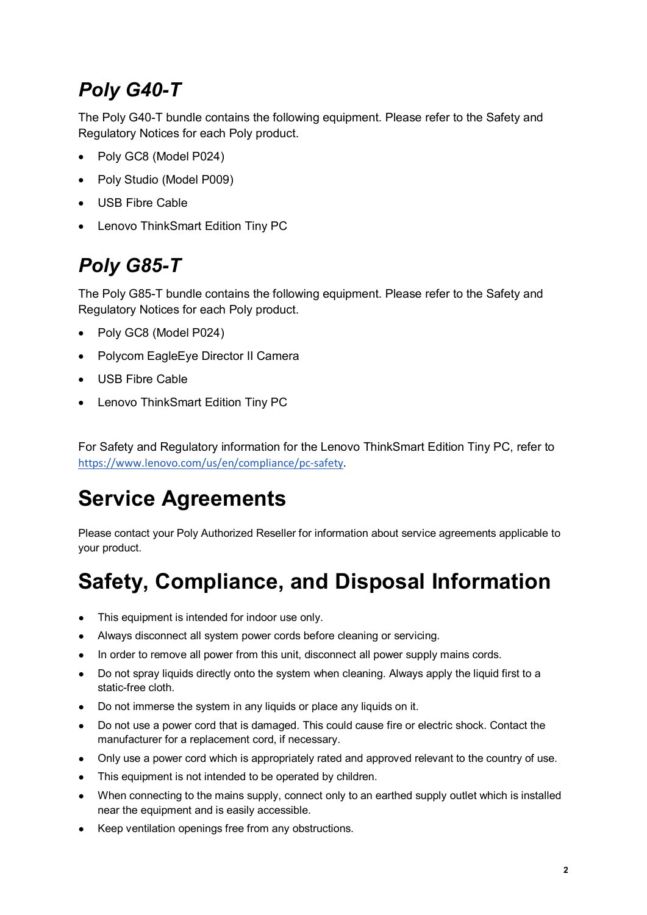### *Poly G40-T*

The Poly G40-T bundle contains the following equipment. Please refer to the Safety and Regulatory Notices for each Poly product.

- Poly GC8 (Model P024)
- Poly Studio (Model P009)
- USB Fibre Cable
- Lenovo ThinkSmart Edition Tiny PC

### *Poly G85-T*

The Poly G85-T bundle contains the following equipment. Please refer to the Safety and Regulatory Notices for each Poly product.

- Poly GC8 (Model P024)
- Polycom EagleEye Director II Camera
- USB Fibre Cable
- Lenovo ThinkSmart Edition Tiny PC

For Safety and Regulatory information for the Lenovo ThinkSmart Edition Tiny PC, refer to [https://www.lenovo.com/us/en/compliance/pc-safety](https://nam03.safelinks.protection.outlook.com/?url=https%3A%2F%2Fwww.lenovo.com%2Fus%2Fen%2Fcompliance%2Fpc-safety&data=02%7C01%7Ccarol.swift%40poly.com%7C734d8c08ad7c45bac49c08d80bcb9b49%7Cbc7c5f16c55e417daac0ff6bbfc27f76%7C1%7C0%7C637272316411340882&sdata=4IC8vca1WQ1gLqsfmWcAtcBd37O7AWBr6%2Bt0x6afEYM%3D&reserved=0).

## <span id="page-1-0"></span>**Service Agreements**

Please contact your Poly Authorized Reseller for information about service agreements applicable to your product.

## <span id="page-1-1"></span>**Safety, Compliance, and Disposal Information**

- This equipment is intended for indoor use only.
- Always disconnect all system power cords before cleaning or servicing.
- In order to remove all power from this unit, disconnect all power supply mains cords.
- Do not spray liquids directly onto the system when cleaning. Always apply the liquid first to a static-free cloth.
- Do not immerse the system in any liquids or place any liquids on it.
- Do not use a power cord that is damaged. This could cause fire or electric shock. Contact the manufacturer for a replacement cord, if necessary.
- Only use a power cord which is appropriately rated and approved relevant to the country of use.
- This equipment is not intended to be operated by children.
- When connecting to the mains supply, connect only to an earthed supply outlet which is installed near the equipment and is easily accessible.
- Keep ventilation openings free from any obstructions.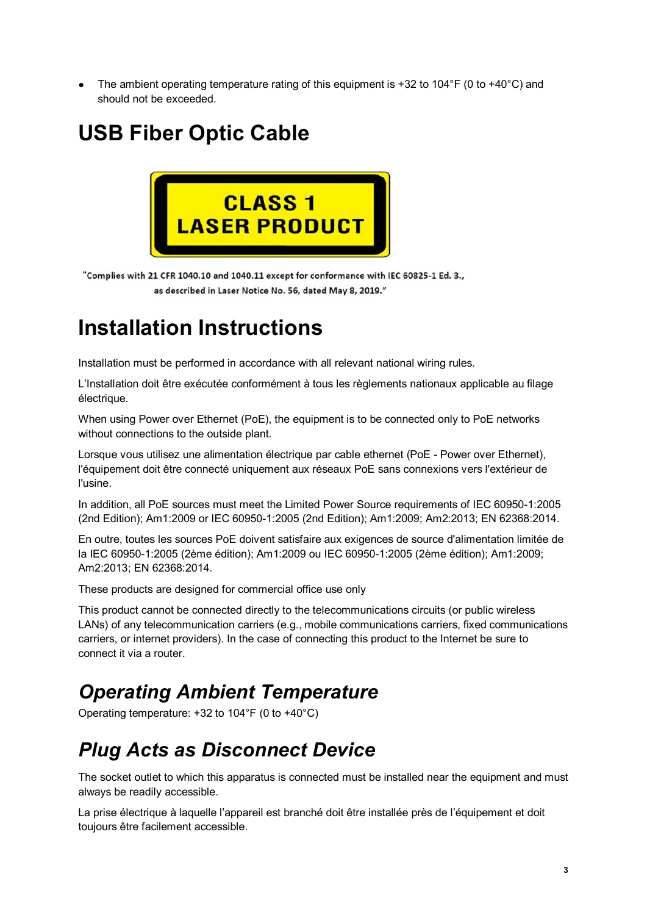The ambient operating temperature rating of this equipment is +32 to 104°F (0 to +40°C) and should not be exceeded.

## <span id="page-2-0"></span>**USB Fiber Optic Cable**



"Complies with 21 CFR 1040.10 and 1040.11 except for conformance with IEC 60825-1 Ed. 3., as described in Laser Notice No. 56, dated May 8, 2019."

### <span id="page-2-1"></span>**Installation Instructions**

Installation must be performed in accordance with all relevant national wiring rules.

L'Installation doit être exécutée conformément à tous les règlements nationaux applicable au filage électrique.

When using Power over Ethernet (PoE), the equipment is to be connected only to PoE networks without connections to the outside plant.

Lorsque vous utilisez une alimentation électrique par cable ethernet (PoE - Power over Ethernet), l'équipement doit être connecté uniquement aux réseaux PoE sans connexions vers l'extérieur de l'usine.

In addition, all PoE sources must meet the Limited Power Source requirements of IEC 60950-1:2005 (2nd Edition); Am1:2009 or IEC 60950-1:2005 (2nd Edition); Am1:2009; Am2:2013; EN 62368:2014.

En outre, toutes les sources PoE doivent satisfaire aux exigences de source d'alimentation limitée de la IEC 60950-1:2005 (2ème édition); Am1:2009 ou IEC 60950-1:2005 (2ème édition); Am1:2009; Am2:2013; EN 62368:2014.

These products are designed for commercial office use only

This product cannot be connected directly to the telecommunications circuits (or public wireless LANs) of any telecommunication carriers (e.g., mobile communications carriers, fixed communications carriers, or internet providers). In the case of connecting this product to the Internet be sure to connect it via a router.

#### *Operating Ambient Temperature*

Operating temperature: +32 to 104°F (0 to +40°C)

#### *Plug Acts as Disconnect Device*

The socket outlet to which this apparatus is connected must be installed near the equipment and must always be readily accessible.

La prise électrique à laquelle l'appareil est branché doit être installée près de l'équipement et doit toujours être facilement accessible.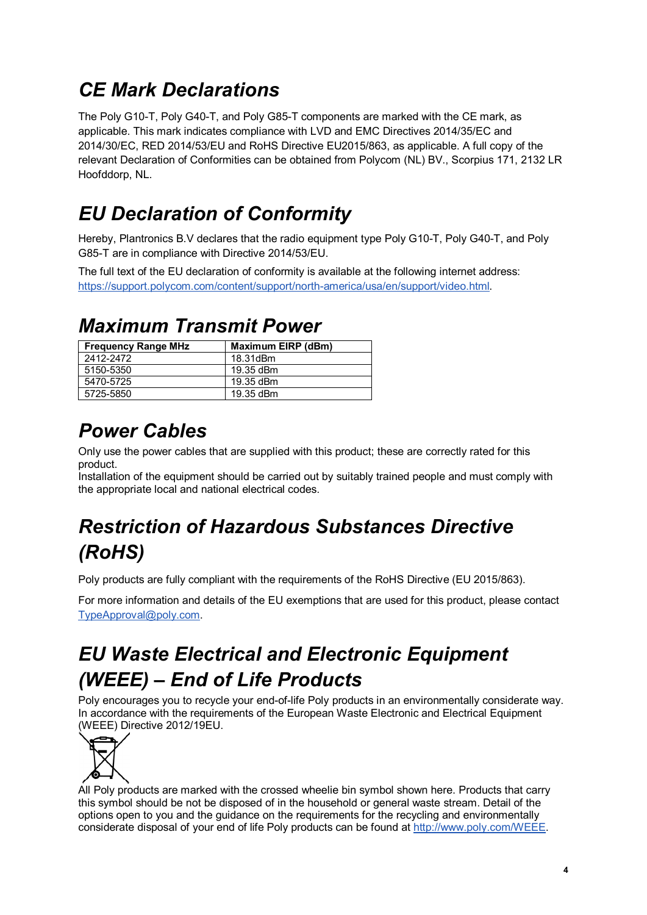#### *CE Mark Declarations*

The Poly G10-T, Poly G40-T, and Poly G85-T components are marked with the CE mark, as applicable. This mark indicates compliance with LVD and EMC Directives 2014/35/EC and 2014/30/EC, RED 2014/53/EU and RoHS Directive EU2015/863, as applicable. A full copy of the relevant Declaration of Conformities can be obtained from Polycom (NL) BV., Scorpius 171, 2132 LR Hoofddorp, NL.

## *EU Declaration of Conformity*

Hereby, Plantronics B.V declares that the radio equipment type Poly G10-T, Poly G40-T, and Poly G85-T are in compliance with Directive 2014/53/EU.

The full text of the EU declaration of conformity is available at the following internet address: <https://support.polycom.com/content/support/north-america/usa/en/support/video.html>.

#### *Maximum Transmit Power*

| <b>Frequency Range MHz</b> | Maximum EIRP (dBm) |
|----------------------------|--------------------|
| 2412-2472                  | 18.31dBm           |
| 5150-5350                  | 19.35 dBm          |
| 5470-5725                  | 19.35 dBm          |
| 5725-5850                  | 19.35 dBm          |

#### *Power Cables*

Only use the power cables that are supplied with this product; these are correctly rated for this product.

Installation of the equipment should be carried out by suitably trained people and must comply with the appropriate local and national electrical codes.

## *Restriction of Hazardous Substances Directive (RoHS)*

Poly products are fully compliant with the requirements of the RoHS Directive (EU 2015/863).

For more information and details of the EU exemptions that are used for this product, please contact [TypeApproval@poly.com.](mailto:TypeApproval@poly.com)

### *EU Waste Electrical and Electronic Equipment (WEEE) – End of Life Products*

Poly encourages you to recycle your end-of-life Poly products in an environmentally considerate way. In accordance with the requirements of the European Waste Electronic and Electrical Equipment (WEEE) Directive 2012/19EU.



All Poly products are marked with the crossed wheelie bin symbol shown here. Products that carry this symbol should be not be disposed of in the household or general waste stream. Detail of the options open to you and the guidance on the requirements for the recycling and environmentally considerate disposal of your end of life Poly products can be found at [http://www.poly.com/WEEE.](http://www.polycom.com/WEEE)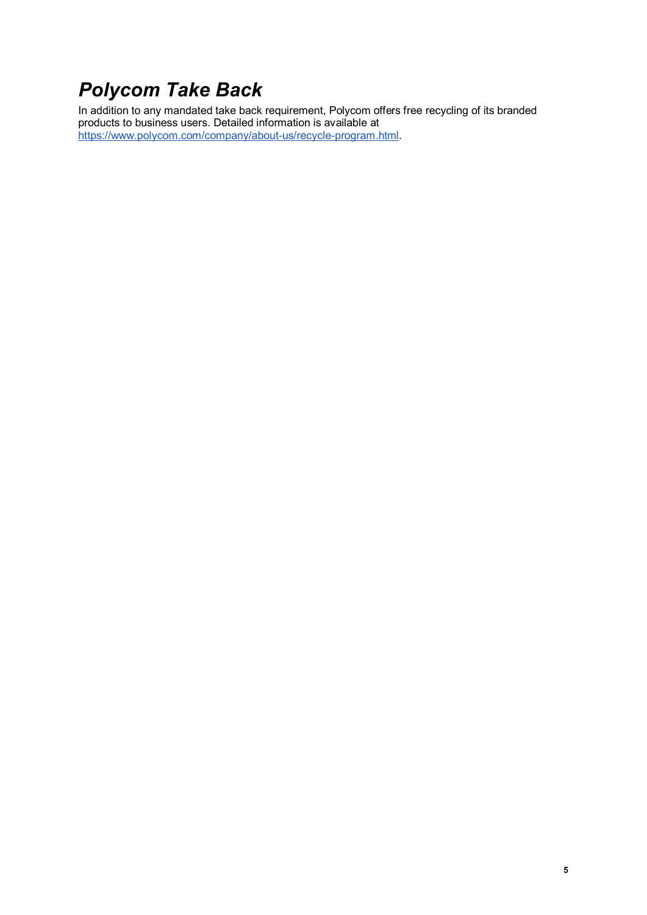#### *Polycom Take Back*

In addition to any mandated take back requirement, Polycom offers free recycling of its branded products to business users. Detailed information is available at https://www.polycom.com/company/about-us/recycle-program.html.